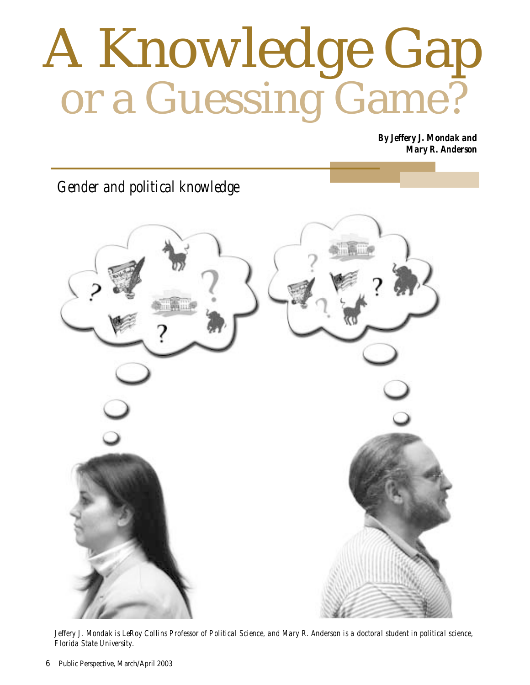## A Knowledge Gap or a Guessing Game?

*By Jeffery J. Mondak and Mary R. Anderson*

*Gender and political knowledge*



*Jeffery J. Mondak is LeRoy Collins Professor of Political Science, and Mary R. Anderson is a doctoral student in political science, Florida State University.*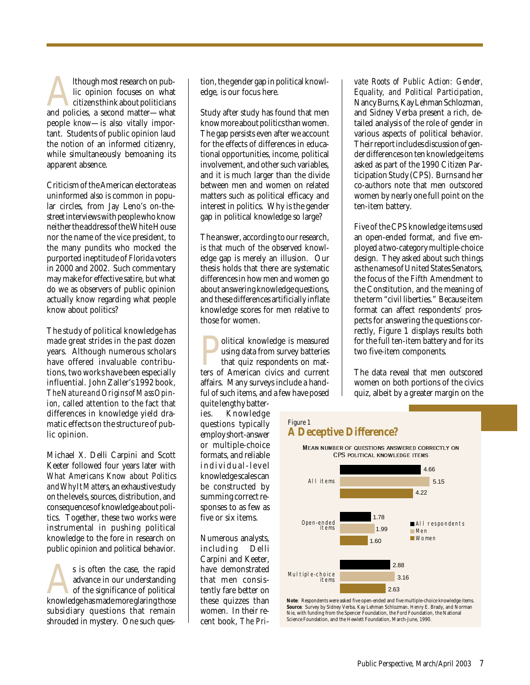Although most research on pub-<br>
lic opinion focuses on what<br>
citizens think about politicians<br>
and policies, a second matter—what lic opinion focuses on what citizens think about politicians people *know*—is also vitally important. Students of public opinion laud the notion of an informed citizenry, while simultaneously bemoaning its apparent absence.

Criticism of the American electorate as uninformed also is common in popular circles, from Jay Leno's on-thestreet interviews with people who know neither the address of the White House nor the name of the vice president, to the many pundits who mocked the purported ineptitude of Florida voters in 2000 and 2002. Such commentary may make for effective satire, but what do we as observers of public opinion actually know regarding what people know about politics?

The study of political knowledge has made great strides in the past dozen years. Although numerous scholars have offered invaluable contributions, two works have been especially influential. John Zaller's 1992 book, *The Nature and Origins of Mass Opinion*, called attention to the fact that differences in knowledge yield dramatic effects on the structure of public opinion.

Michael X. Delli Carpini and Scott Keeter followed four years later with *What Americans Know about Politics and Why It Matters*, an exhaustive study on the levels, sources, distribution, and consequences of knowledge about politics. Together, these two works were instrumental in pushing political knowledge to the fore in research on public opinion and political behavior.

s is often the case, the rapid<br>advance in our understanding<br>of the significance of political<br>knowledge has made more glaring those advance in our understanding of the significance of political subsidiary questions that remain shrouded in mystery. One such question, the gender gap in political knowledge, is our focus here.

Study after study has found that men know more about politics than women. The gap persists even after we account for the effects of differences in educational opportunities, income, political involvement, and other such variables, and it is much larger than the divide between men and women on related matters such as political efficacy and interest in politics. Why is the gender gap in political knowledge so large?

The answer, according to our research, is that much of the observed knowledge gap is merely an illusion. Our thesis holds that there are systematic differences in how men and women go about answering knowledge questions, and these differences artificially inflate knowledge scores for men relative to those for women.

Political knowledge is measured ters of American civics and current using data from survey batteries that quiz respondents on mataffairs. Many surveys include a handful of such items, and a few have posed

quite lengthy batteries. Knowledge questions typically employ short-answer or multiple-choice formats, and reliable individual-level knowledge scales can be constructed by summing correct responses to as few as five or six items.

Numerous analysts, including Delli Carpini and Keeter, have demonstrated that men consistently fare better on these quizzes than women. In their recent book, *The Pri-*

*vate Roots of Public Action: Gender, Equality, and Political Participation*, Nancy Burns, Kay Lehman Schlozman, and Sidney Verba present a rich, detailed analysis of the role of gender in various aspects of political behavior. Their report includes discussion of gender differences on ten knowledge items asked as part of the 1990 Citizen Participation Study (CPS). Burns and her co-authors note that men outscored women by nearly one full point on the ten-item battery.

Five of the CPS knowledge items used an open-ended format, and five employed a two-category multiple-choice design. They asked about such things as the names of United States Senators, the focus of the Fifth Amendment to the Constitution, and the meaning of the term "civil liberties." Because item format can affect respondents' prospects for answering the questions correctly, Figure 1 displays results both for the full ten-item battery and for its two five-item components.

The data reveal that men outscored women on both portions of the civics quiz, albeit by a greater margin on the

## Figure 1 **A Deceptive Difference?**

Mean number of questions answered correctly on CPS political knowledge items



**Note**: Respondents were asked five open-ended and five multiple-choice knowledge items. **Source**: Survey by Sidney Verba, Kay Lehman Schlozman, Henry E. Brady, and Norman Nie, with funding from the Spencer Foundation, the Ford Foundation, the National Science Foundation, and the Hewlett Foundation, March-June, 1990.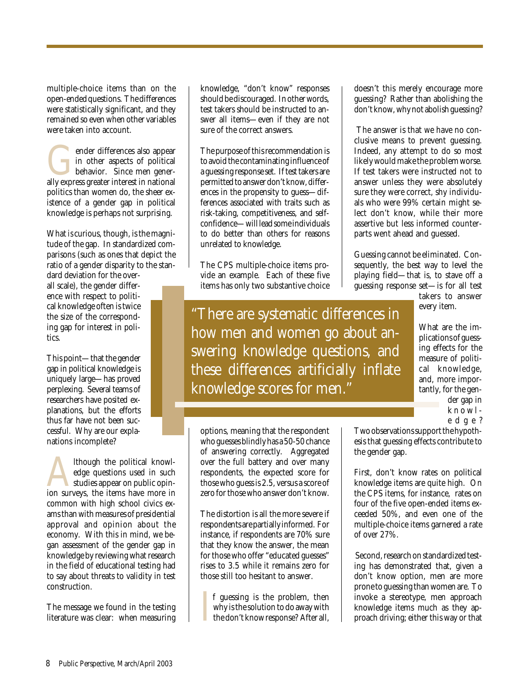multiple-choice items than on the open-ended questions. The differences were statistically significant, and they remained so even when other variables were taken into account.

ender differences also appear<br>
in other aspects of political<br>
behavior. Since men generally<br>
express greater interest in national in other aspects of political behavior. Since men generpolitics than women do, the sheer existence of a gender gap in political knowledge is perhaps not surprising.

What *is* curious, though, is the magnitude of the gap. In standardized comparisons (such as ones that depict the ratio of a gender disparity to the stan-

dard deviation for the overall scale), the gender difference with respect to political knowledge often is twice the size of the corresponding gap for interest in politics.

This point—that the gender gap in political knowledge is uniquely large—has proved perplexing. Several teams of researchers have posited explanations, but the efforts thus far have not been successful. Why are our explanations incomplete?

Although the political knowledge questions used in such studies appear on public opinion surveys, the items have more in edge questions used in such studies appear on public opincommon with high school civics exams than with measures of presidential approval and opinion about the economy. With this in mind, we began assessment of the gender gap in knowledge by reviewing what research in the field of educational testing had to say about threats to validity in test construction.

The message we found in the testing literature was clear: when measuring

knowledge, "don't know" responses should be discouraged. In other words, test takers should be instructed to answer all items—even if they are not sure of the correct answers.

The purpose of this recommendation is to avoid the contaminating influence of a guessing response set. If test takers are permitted to answer don't know, differences in the propensity to guess—differences associated with traits such as risk-taking, competitiveness, and selfconfidence—will lead some individuals to do better than others for reasons unrelated to knowledge.

The CPS multiple-choice items provide an example. Each of these five items has only two substantive choice

"There are systematic differences in how men and women go about answering knowledge questions, and these differences artificially inflate knowledge scores for men."

options, meaning that the respondent who guesses blindly has a 50-50 chance of answering correctly. Aggregated over the full battery and over many respondents, the expected score for those who guess is 2.5, versus a score of zero for those who answer don't know.

The distortion is all the more severe if respondents are partially informed. For instance, if respondents are 70% sure that they know the answer, the mean for those who offer "educated guesses" rises to 3.5 while it remains zero for those still too hesitant to answer.

I f guessing is the problem, then why is the solution to do away with the don't know response? After all,

doesn't this merely encourage more guessing? Rather than abolishing the don't know, why not abolish guessing?

 The answer is that we have no conclusive means to prevent guessing. Indeed, any attempt to do so most likely would make the problem worse. If test takers were instructed not to answer unless they were absolutely sure they were correct, shy individuals who were 99% certain might select don't know, while their more assertive but less informed counterparts went ahead and guessed.

Guessing cannot be eliminated. Consequently, the best way to level the playing field—that is, to stave off a guessing response set—is for all test

> takers to answer every item.

What are the implications of guessing effects for the measure of political knowledge, and, more importantly, for the gender gap in knowledge?

Two observations support the hypothesis that guessing effects contribute to the gender gap.

First, don't know rates on political knowledge items are quite high. On the CPS items, for instance, rates on four of the five open-ended items exceeded 50%, and even one of the multiple-choice items garnered a rate of over 27%.

 Second, research on standardized testing has demonstrated that, given a don't know option, men are more prone to guessing than women are. To invoke a stereotype, men approach knowledge items much as they approach driving; either this way or that